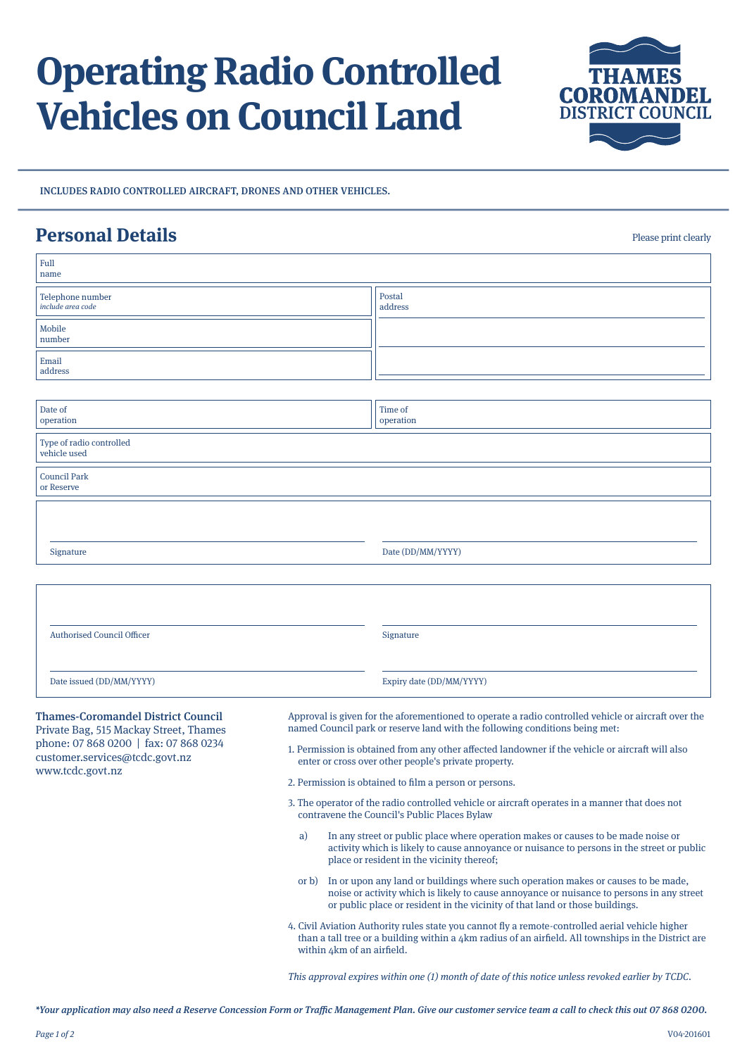## **Operating Radio Controlled Vehicles on Council Land**



INCLUDES RADIO CONTROLLED AIRCRAFT, DRONES AND OTHER VEHICLES.

## **Personal Details** Property and the print clearly

Full name Telephone number include area code Email address Mobile number Postal address Thames-Coromandel District Council Private Bag, 515 Mackay Street, Thames phone: 07 868 0200 | fax: 07 868 0234 customer.services@tcdc.govt.nz www.tcdc.govt.nz Approval is given for the aforementioned to operate a radio controlled vehicle or aircraft over the named Council park or reserve land with the following conditions being met: 1. Permission is obtained from any other affected landowner if the vehicle or aircraft will also enter or cross over other people's private property. 2. Permission is obtained to film a person or persons. 3. The operator of the radio controlled vehicle or aircraft operates in a manner that does not contravene the Council's Public Places Bylaw a) In any street or public place where operation makes or causes to be made noise or activity which is likely to cause annoyance or nuisance to persons in the street or public place or resident in the vicinity thereof; or b) In or upon any land or buildings where such operation makes or causes to be made, noise or activity which is likely to cause annoyance or nuisance to persons in any street or public place or resident in the vicinity of that land or those buildings. 4. Civil Aviation Authority rules state you cannot fly a remote-controlled aerial vehicle higher than a tall tree or a building within a  $4km$  radius of an airfield. All townships in the District are within 4km of an airfield. Authorised Council Officer Signature Date issued (DD/MM/YYYY) Expiry date (DD/MM/YYYY) Type of radio controlled vehicle used Council Park or Reserve Date of operation Time of operation Signature Date (DD/MM/YYYY)

This approval expires within one (1) month of date of this notice unless revoked earlier by TCDC.

\*Your application may also need a Reserve Concession Form or Traffic Management Plan. Give our customer service team a call to check this out 07 868 0200.